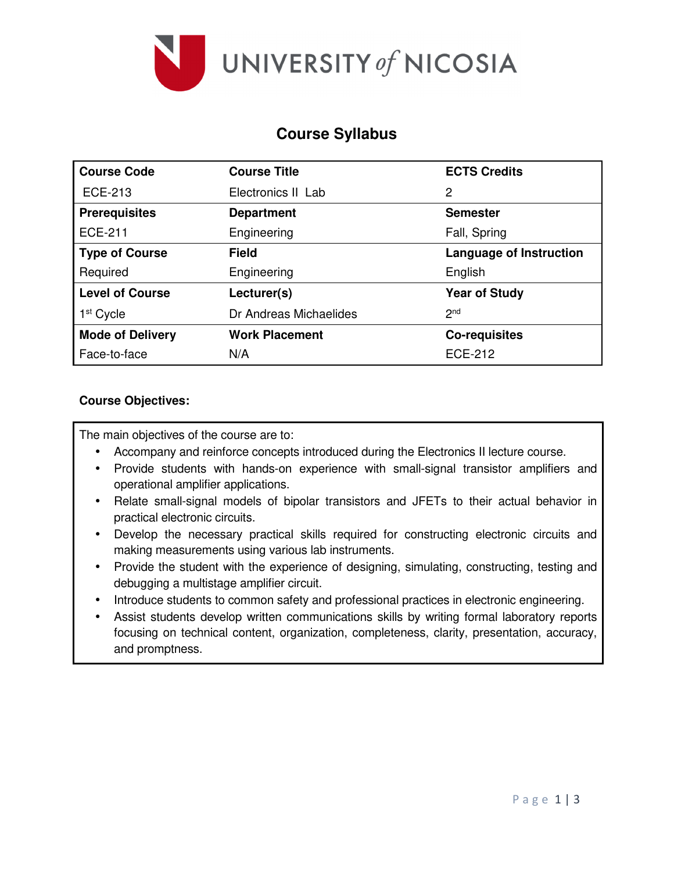

# **Course Syllabus**

| <b>Course Code</b>      | <b>Course Title</b>    | <b>ECTS Credits</b>            |  |  |
|-------------------------|------------------------|--------------------------------|--|--|
| <b>ECE-213</b>          | Electronics II Lab     | 2                              |  |  |
| <b>Prerequisites</b>    | <b>Department</b>      | <b>Semester</b>                |  |  |
| <b>ECE-211</b>          | Engineering            | Fall, Spring                   |  |  |
| <b>Type of Course</b>   | <b>Field</b>           | <b>Language of Instruction</b> |  |  |
| Required                | Engineering            | English                        |  |  |
| <b>Level of Course</b>  | Lecturer(s)            | <b>Year of Study</b>           |  |  |
| 1 <sup>st</sup> Cycle   | Dr Andreas Michaelides | 2 <sub>nd</sub>                |  |  |
| <b>Mode of Delivery</b> | <b>Work Placement</b>  | <b>Co-requisites</b>           |  |  |
| Face-to-face            | N/A                    | <b>ECE-212</b>                 |  |  |

## **Course Objectives:**

The main objectives of the course are to:

- Accompany and reinforce concepts introduced during the Electronics II lecture course.
- Provide students with hands-on experience with small-signal transistor amplifiers and operational amplifier applications.
- Relate small-signal models of bipolar transistors and JFETs to their actual behavior in practical electronic circuits.
- Develop the necessary practical skills required for constructing electronic circuits and making measurements using various lab instruments.
- Provide the student with the experience of designing, simulating, constructing, testing and debugging a multistage amplifier circuit.
- Introduce students to common safety and professional practices in electronic engineering.
- Assist students develop written communications skills by writing formal laboratory reports focusing on technical content, organization, completeness, clarity, presentation, accuracy, and promptness.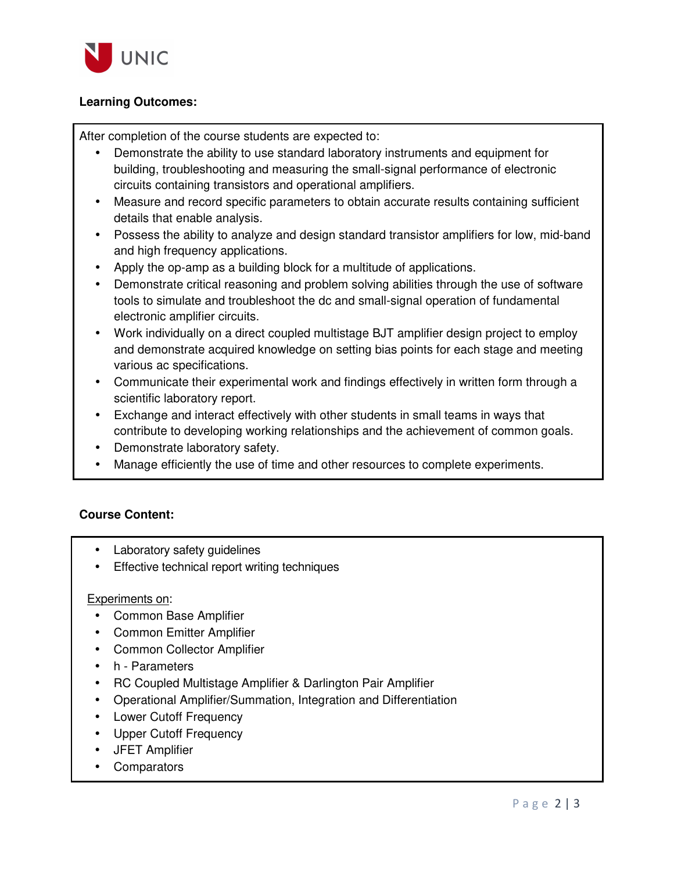

## **Learning Outcomes:**

After completion of the course students are expected to:

- Demonstrate the ability to use standard laboratory instruments and equipment for building, troubleshooting and measuring the small-signal performance of electronic circuits containing transistors and operational amplifiers.
- Measure and record specific parameters to obtain accurate results containing sufficient details that enable analysis.
- Possess the ability to analyze and design standard transistor amplifiers for low, mid-band and high frequency applications.
- Apply the op-amp as a building block for a multitude of applications.
- Demonstrate critical reasoning and problem solving abilities through the use of software tools to simulate and troubleshoot the dc and small-signal operation of fundamental electronic amplifier circuits.
- Work individually on a direct coupled multistage BJT amplifier design project to employ and demonstrate acquired knowledge on setting bias points for each stage and meeting various ac specifications.
- Communicate their experimental work and findings effectively in written form through a scientific laboratory report.
- Exchange and interact effectively with other students in small teams in ways that contribute to developing working relationships and the achievement of common goals.
- Demonstrate laboratory safety.
- Manage efficiently the use of time and other resources to complete experiments.

## **Course Content:**

- Laboratory safety guidelines
- Effective technical report writing techniques

#### Experiments on:

- Common Base Amplifier
- Common Emitter Amplifier
- Common Collector Amplifier
- h Parameters
- RC Coupled Multistage Amplifier & Darlington Pair Amplifier
- Operational Amplifier/Summation, Integration and Differentiation
- Lower Cutoff Frequency
- Upper Cutoff Frequency
- JFET Amplifier
- Comparators